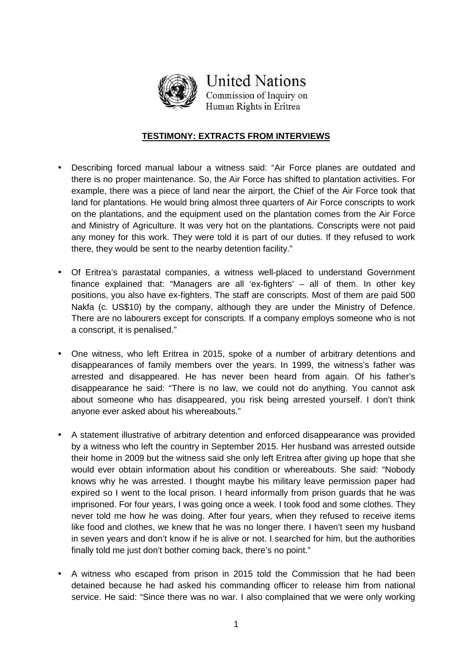

**United Nations** Commission of Inquiry on

Human Rights in Eritrea

## **TESTIMONY: EXTRACTS FROM INTERVIEWS**

- Describing forced manual labour a witness said: "Air Force planes are outdated and there is no proper maintenance. So, the Air Force has shifted to plantation activities. For example, there was a piece of land near the airport, the Chief of the Air Force took that land for plantations. He would bring almost three quarters of Air Force conscripts to work on the plantations, and the equipment used on the plantation comes from the Air Force and Ministry of Agriculture. It was very hot on the plantations. Conscripts were not paid any money for this work. They were told it is part of our duties. If they refused to work there, they would be sent to the nearby detention facility."
- Of Eritrea's parastatal companies, a witness well-placed to understand Government finance explained that: "Managers are all 'ex-fighters' – all of them. In other key positions, you also have ex-fighters. The staff are conscripts. Most of them are paid 500 Nakfa (c. US\$10) by the company, although they are under the Ministry of Defence. There are no labourers except for conscripts. If a company employs someone who is not a conscript, it is penalised."
- One witness, who left Eritrea in 2015, spoke of a number of arbitrary detentions and disappearances of family members over the years. In 1999, the witness's father was arrested and disappeared. He has never been heard from again. Of his father's disappearance he said: "There is no law, we could not do anything. You cannot ask about someone who has disappeared, you risk being arrested yourself. I don't think anyone ever asked about his whereabouts."
- A statement illustrative of arbitrary detention and enforced disappearance was provided by a witness who left the country in September 2015. Her husband was arrested outside their home in 2009 but the witness said she only left Eritrea after giving up hope that she would ever obtain information about his condition or whereabouts. She said: "Nobody knows why he was arrested. I thought maybe his military leave permission paper had expired so I went to the local prison. I heard informally from prison guards that he was imprisoned. For four years, I was going once a week. I took food and some clothes. They never told me how he was doing. After four years, when they refused to receive items like food and clothes, we knew that he was no longer there. I haven't seen my husband in seven years and don't know if he is alive or not. I searched for him, but the authorities finally told me just don't bother coming back, there's no point."
- A witness who escaped from prison in 2015 told the Commission that he had been detained because he had asked his commanding officer to release him from national service. He said: "Since there was no war. I also complained that we were only working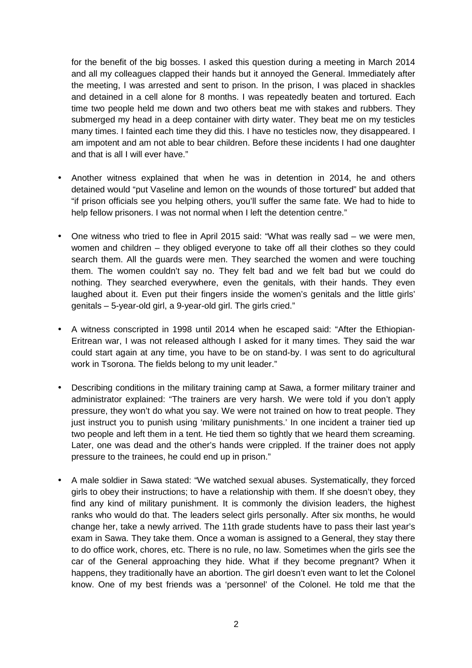for the benefit of the big bosses. I asked this question during a meeting in March 2014 and all my colleagues clapped their hands but it annoyed the General. Immediately after the meeting, I was arrested and sent to prison. In the prison, I was placed in shackles and detained in a cell alone for 8 months. I was repeatedly beaten and tortured. Each time two people held me down and two others beat me with stakes and rubbers. They submerged my head in a deep container with dirty water. They beat me on my testicles many times. I fainted each time they did this. I have no testicles now, they disappeared. I am impotent and am not able to bear children. Before these incidents I had one daughter and that is all I will ever have."

- Another witness explained that when he was in detention in 2014, he and others detained would "put Vaseline and lemon on the wounds of those tortured" but added that "if prison officials see you helping others, you'll suffer the same fate. We had to hide to help fellow prisoners. I was not normal when I left the detention centre."
- One witness who tried to flee in April 2015 said: "What was really sad we were men, women and children – they obliged everyone to take off all their clothes so they could search them. All the guards were men. They searched the women and were touching them. The women couldn't say no. They felt bad and we felt bad but we could do nothing. They searched everywhere, even the genitals, with their hands. They even laughed about it. Even put their fingers inside the women's genitals and the little girls' genitals – 5-year-old girl, a 9-year-old girl. The girls cried."
- A witness conscripted in 1998 until 2014 when he escaped said: "After the Ethiopian-Eritrean war, I was not released although I asked for it many times. They said the war could start again at any time, you have to be on stand-by. I was sent to do agricultural work in Tsorona. The fields belong to my unit leader."
- Describing conditions in the military training camp at Sawa, a former military trainer and administrator explained: "The trainers are very harsh. We were told if you don't apply pressure, they won't do what you say. We were not trained on how to treat people. They just instruct you to punish using 'military punishments.' In one incident a trainer tied up two people and left them in a tent. He tied them so tightly that we heard them screaming. Later, one was dead and the other's hands were crippled. If the trainer does not apply pressure to the trainees, he could end up in prison."
- A male soldier in Sawa stated: "We watched sexual abuses. Systematically, they forced girls to obey their instructions; to have a relationship with them. If she doesn't obey, they find any kind of military punishment. It is commonly the division leaders, the highest ranks who would do that. The leaders select girls personally. After six months, he would change her, take a newly arrived. The 11th grade students have to pass their last year's exam in Sawa. They take them. Once a woman is assigned to a General, they stay there to do office work, chores, etc. There is no rule, no law. Sometimes when the girls see the car of the General approaching they hide. What if they become pregnant? When it happens, they traditionally have an abortion. The girl doesn't even want to let the Colonel know. One of my best friends was a 'personnel' of the Colonel. He told me that the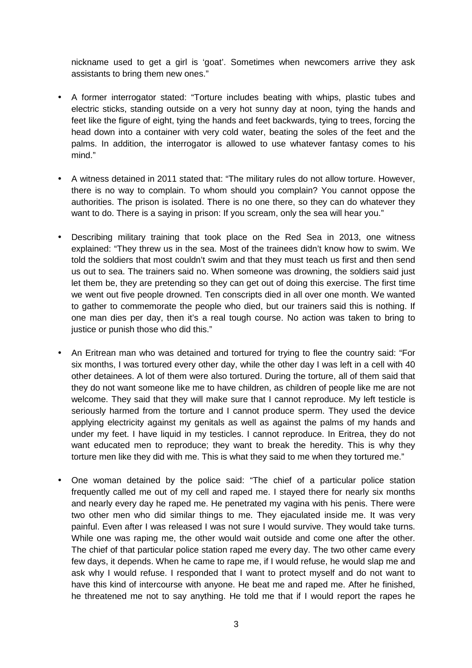nickname used to get a girl is 'goat'. Sometimes when newcomers arrive they ask assistants to bring them new ones."

- A former interrogator stated: "Torture includes beating with whips, plastic tubes and electric sticks, standing outside on a very hot sunny day at noon, tying the hands and feet like the figure of eight, tying the hands and feet backwards, tying to trees, forcing the head down into a container with very cold water, beating the soles of the feet and the palms. In addition, the interrogator is allowed to use whatever fantasy comes to his mind."
- A witness detained in 2011 stated that: "The military rules do not allow torture. However, there is no way to complain. To whom should you complain? You cannot oppose the authorities. The prison is isolated. There is no one there, so they can do whatever they want to do. There is a saying in prison: If you scream, only the sea will hear you."
- Describing military training that took place on the Red Sea in 2013, one witness explained: "They threw us in the sea. Most of the trainees didn't know how to swim. We told the soldiers that most couldn't swim and that they must teach us first and then send us out to sea. The trainers said no. When someone was drowning, the soldiers said just let them be, they are pretending so they can get out of doing this exercise. The first time we went out five people drowned. Ten conscripts died in all over one month. We wanted to gather to commemorate the people who died, but our trainers said this is nothing. If one man dies per day, then it's a real tough course. No action was taken to bring to justice or punish those who did this."
- An Eritrean man who was detained and tortured for trying to flee the country said: "For six months, I was tortured every other day, while the other day I was left in a cell with 40 other detainees. A lot of them were also tortured. During the torture, all of them said that they do not want someone like me to have children, as children of people like me are not welcome. They said that they will make sure that I cannot reproduce. My left testicle is seriously harmed from the torture and I cannot produce sperm. They used the device applying electricity against my genitals as well as against the palms of my hands and under my feet. I have liquid in my testicles. I cannot reproduce. In Eritrea, they do not want educated men to reproduce; they want to break the heredity. This is why they torture men like they did with me. This is what they said to me when they tortured me."
- One woman detained by the police said: "The chief of a particular police station frequently called me out of my cell and raped me. I stayed there for nearly six months and nearly every day he raped me. He penetrated my vagina with his penis. There were two other men who did similar things to me. They ejaculated inside me. It was very painful. Even after I was released I was not sure I would survive. They would take turns. While one was raping me, the other would wait outside and come one after the other. The chief of that particular police station raped me every day. The two other came every few days, it depends. When he came to rape me, if I would refuse, he would slap me and ask why I would refuse. I responded that I want to protect myself and do not want to have this kind of intercourse with anyone. He beat me and raped me. After he finished, he threatened me not to say anything. He told me that if I would report the rapes he